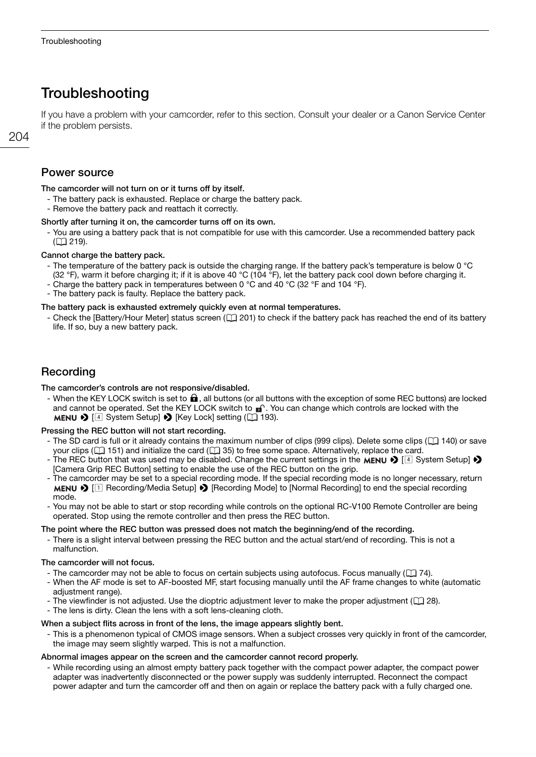# **Troubleshooting**

If you have a problem with your camcorder, refer to this section. Consult your dealer or a Canon Service Center if the problem persists.

204

## Power source

The camcorder will not turn on or it turns off by itself.

- The battery pack is exhausted. Replace or charge the battery pack.
- Remove the battery pack and reattach it correctly.

## Shortly after turning it on, the camcorder turns off on its own.

- You are using a battery pack that is not compatible for use with this camcorder. Use a recommended battery pack  $(D219)$  $(D219)$  $(D219)$ .

## Cannot charge the battery pack.

- The temperature of the battery pack is outside the charging range. If the battery pack's temperature is below 0 °C (32 °F), warm it before charging it; if it is above 40 °C (104 °F), let the battery pack cool down before charging it.
- Charge the battery pack in temperatures between 0 °C and 40 °C (32 °F and 104 °F).
- The battery pack is faulty. Replace the battery pack.

## The battery pack is exhausted extremely quickly even at normal temperatures.

- Check the [Battery/Hour Meter] status screen ( $\Box$  [201](#page--1-3)) to check if the battery pack has reached the end of its battery life. If so, buy a new battery pack.

## **Recording**

### The camcorder's controls are not responsive/disabled.

- When the KEY LOCK switch is set to  $\bigcap$ , all buttons (or all buttons with the exception of some REC buttons) are locked and cannot be operated. Set the KEY LOCK switch to  $\mathbf{r}$ . You can change which controls are locked with the **MENU**  $\bullet$  [4] System Setup]  $\bullet$  [Key Lock] setting ( $\Box$  [193\)](#page--1-1).

### Pressing the REC button will not start recording.

- The SD card is full or it already contains the maximum number of clips (999 clips). Delete some clips ( $\Box$  [140](#page--1-4)) or save your clips ( $\Box$  [151\)](#page--1-0) and initialize the card ( $\Box$  [35](#page--1-5)) to free some space. Alternatively, replace the card.
- The REC button that was used may be disabled. Change the current settings in the MENU  $\bigcirc$  [4] System Setup]  $\bigcirc$ [Camera Grip REC Button] setting to enable the use of the REC button on the grip.
- The camcorder may be set to a special recording mode. If the special recording mode is no longer necessary, return **MENU**  $\bigcirc$  [1] Recording/Media Setup]  $\bigcirc$  [Recording Mode] to [Normal Recording] to end the special recording mode.
- You may not be able to start or stop recording while controls on the optional RC-V100 Remote Controller are being operated. Stop using the remote controller and then press the REC button.

## The point where the REC button was pressed does not match the beginning/end of the recording.

- There is a slight interval between pressing the REC button and the actual start/end of recording. This is not a malfunction.

### The camcorder will not focus.

- The camcorder may not be able to focus on certain subjects using autofocus. Focus manually ( $\Box$ ) [74\)](#page--1-6).
- When the AF mode is set to AF-boosted MF, start focusing manually until the AF frame changes to white (automatic adiustment range).
- The viewfinder is not adjusted. Use the dioptric adjustment lever to make the proper adjustment ( $\Box$  [28\)](#page--1-7).
- The lens is dirty. Clean the lens with a soft lens-cleaning cloth.

### When a subject flits across in front of the lens, the image appears slightly bent.

- This is a phenomenon typical of CMOS image sensors. When a subject crosses very quickly in front of the camcorder, the image may seem slightly warped. This is not a malfunction.

### Abnormal images appear on the screen and the camcorder cannot record properly.

- While recording using an almost empty battery pack together with the compact power adapter, the compact power adapter was inadvertently disconnected or the power supply was suddenly interrupted. Reconnect the compact power adapter and turn the camcorder off and then on again or replace the battery pack with a fully charged one.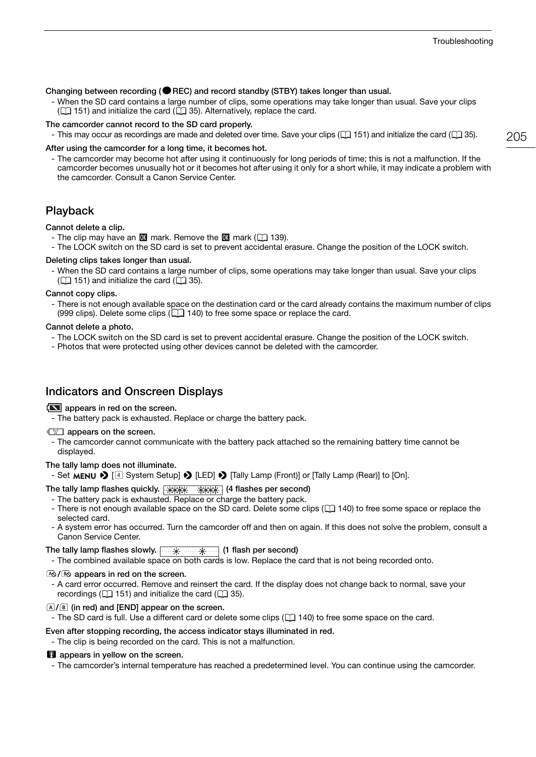## Changing between recording ( $\bigcirc$ REC) and record standby (STBY) takes longer than usual.

- When the SD card contains a large number of clips, some operations may take longer than usual. Save your clips  $($  [151](#page--1-0)) and initialize the card  $($   $)$  [35\)](#page--1-5). Alternatively, replace the card.

#### The camcorder cannot record to the SD card properly.

- This may occur as recordings are made and deleted over time. Save your clips ( $\Box$ ) [151\)](#page--1-0) and initialize the card ( $\Box$ ) [35\)](#page--1-5).

#### After using the camcorder for a long time, it becomes hot.

- The camcorder may become hot after using it continuously for long periods of time; this is not a malfunction. If the camcorder becomes unusually hot or it becomes hot after using it only for a short while, it may indicate a problem with the camcorder. Consult a Canon Service Center.

## Playback

## Cannot delete a clip.

- The clip may have an  $\mathbb{N}$  mark. Remove the  $\mathbb{N}$  mark ( $\Box$  [139\)](#page--1-8).
- The LOCK switch on the SD card is set to prevent accidental erasure. Change the position of the LOCK switch.

### Deleting clips takes longer than usual.

- When the SD card contains a large number of clips, some operations may take longer than usual. Save your clips  $(D)$  [151](#page--1-0)) and initialize the card  $(D)$  [35\)](#page--1-5).

## Cannot copy clips.

- There is not enough available space on the destination card or the card already contains the maximum number of clips (999 clips). Delete some clips ( $\Box$  [140\)](#page--1-4) to free some space or replace the card.

#### Cannot delete a photo.

- The LOCK switch on the SD card is set to prevent accidental erasure. Change the position of the LOCK switch.
- Photos that were protected using other devices cannot be deleted with the camcorder.

## Indicators and Onscreen Displays

### **EX** appears in red on the screen.

- The battery pack is exhausted. Replace or charge the battery pack.

#### $\sqrt{2}$  appears on the screen.

- The camcorder cannot communicate with the battery pack attached so the remaining battery time cannot be displayed.

#### The tally lamp does not illuminate.

- Set MENU  $\bigcirc$  [4 System Setup]  $\bigcirc$  [LED]  $\bigcirc$  [Tally Lamp (Front)] or [Tally Lamp (Rear)] to [On].

## The tally lamp flashes quickly. **精神精神 # (4 flashes per second)**

- The battery pack is exhausted. Replace or charge the battery pack.
- There is not enough available space on the SD card. Delete some clips  $(\Box)$  [140\)](#page--1-4) to free some space or replace the selected card.
- A system error has occurred. Turn the camcorder off and then on again. If this does not solve the problem, consult a Canon Service Center.

#### The tally lamp flashes slowly.  $\frac{1}{2}$  is the second (1 flash per second)

- The combined available space on both cards is low. Replace the card that is not being recorded onto.

#### As/ B<sub>o</sub> appears in red on the screen.

- A card error occurred. Remove and reinsert the card. If the display does not change back to normal, save your recordings ( $\Box$  [151](#page--1-0)) and initialize the card ( $\Box$  [35\)](#page--1-5).

#### $\overline{A}/\overline{B}$  (in red) and [END] appear on the screen.

- The SD card is full. Use a different card or delete some clips  $(\Box)$  [140](#page--1-4)) to free some space on the card.

#### Even after stopping recording, the access indicator stays illuminated in red.

- The clip is being recorded on the card. This is not a malfunction.

#### $\blacksquare$  appears in yellow on the screen.

- The camcorder's internal temperature has reached a predetermined level. You can continue using the camcorder.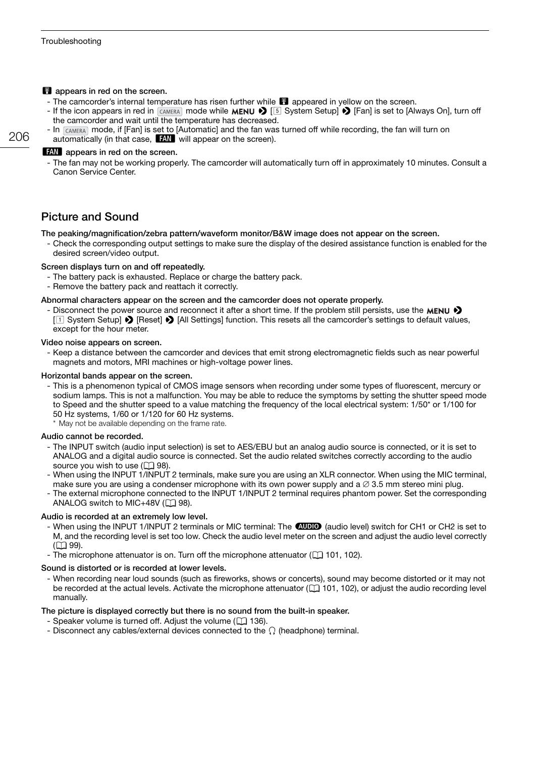## **B** appears in red on the screen.

- The camcorder's internal temperature has risen further while **B** appeared in yellow on the screen.
- If the icon appears in red in  $\frac{1}{(A \cup B \cap A)}$  mode while **MENU**  $\frac{1}{(B \cup B)}$  System Setup $\frac{1}{(B \cup B)}$  [Fan] is set to [Always On], turn off the camcorder and wait until the temperature has decreased.
- In CAMERA mode, if [Fan] is set to [Automatic] and the fan was turned off while recording, the fan will turn on automatically (in that case,  $\blacksquare$  will appear on the screen).

## **EAN** appears in red on the screen.

- The fan may not be working properly. The camcorder will automatically turn off in approximately 10 minutes. Consult a Canon Service Center.

## Picture and Sound

The peaking/magnification/zebra pattern/waveform monitor/B&W image does not appear on the screen.

- Check the corresponding output settings to make sure the display of the desired assistance function is enabled for the desired screen/video output.

## Screen displays turn on and off repeatedly.

- The battery pack is exhausted. Replace or charge the battery pack.
- Remove the battery pack and reattach it correctly.

## Abnormal characters appear on the screen and the camcorder does not operate properly.

- Disconnect the power source and reconnect it after a short time. If the problem still persists, use the MENU [! System Setup] > [Reset] > [All Settings] function. This resets all the camcorder's settings to default values, except for the hour meter.

## Video noise appears on screen.

- Keep a distance between the camcorder and devices that emit strong electromagnetic fields such as near powerful magnets and motors, MRI machines or high-voltage power lines.

### Horizontal bands appear on the screen.

- This is a phenomenon typical of CMOS image sensors when recording under some types of fluorescent, mercury or sodium lamps. This is not a malfunction. You may be able to reduce the symptoms by setting the shutter speed mode to Speed and the shutter speed to a value matching the frequency of the local electrical system: 1/50\* or 1/100 for 50 Hz systems, 1/60 or 1/120 for 60 Hz systems.
	- \* May not be available depending on the frame rate.

## Audio cannot be recorded.

- The INPUT switch (audio input selection) is set to AES/EBU but an analog audio source is connected, or it is set to ANALOG and a digital audio source is connected. Set the audio related switches correctly according to the audio source you wish to use  $(198)$  $(198)$  $(198)$ .
- When using the INPUT 1/INPUT 2 terminals, make sure you are using an XLR connector. When using the MIC terminal, make sure you are using a condenser microphone with its own power supply and a  $\varnothing$  3.5 mm stereo mini plug.
- The external microphone connected to the INPUT 1/INPUT 2 terminal requires phantom power. Set the corresponding ANALOG switch to MIC+48V ( $\Box$  [98\)](#page--1-10).

### Audio is recorded at an extremely low level.

- When using the INPUT 1/INPUT 2 terminals or MIC terminal: The **QUID** (audio level) switch for CH1 or CH2 is set to M, and the recording level is set too low. Check the audio level meter on the screen and adjust the audio level correctly (A [99\)](#page--1-12).
- The microphone attenuator is on. Turn off the microphone attenuator ( $\Box$ ) [101,](#page--1-9) [102\)](#page--1-13).

## Sound is distorted or is recorded at lower levels.

- When recording near loud sounds (such as fireworks, shows or concerts), sound may become distorted or it may not be recorded at the actual levels. Activate the microphone attenuator ( $\Box$  [101,](#page--1-9) [102](#page--1-13)), or adjust the audio recording level manually.

### The picture is displayed correctly but there is no sound from the built-in speaker.

- Speaker volume is turned off. Adjust the volume  $(M 136)$  $(M 136)$ .
- Disconnect any cables/external devices connected to the  $\Omega$  (headphone) terminal.

206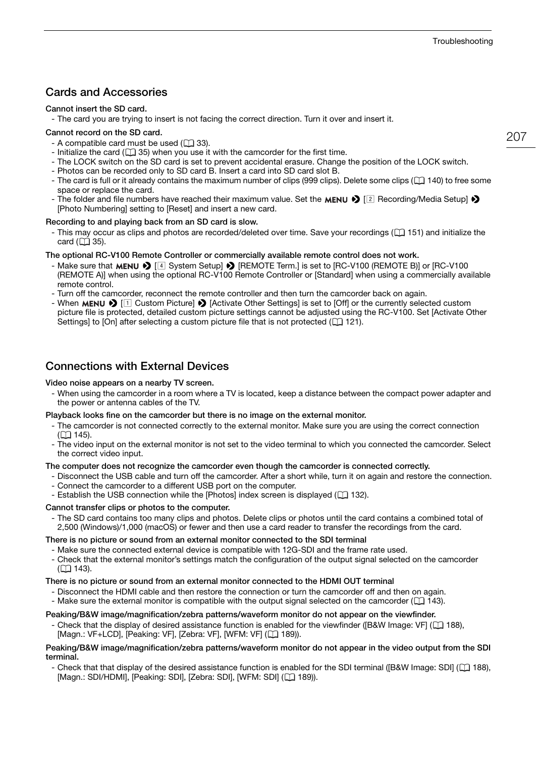## Cards and Accessories

## Cannot insert the SD card.

- The card you are trying to insert is not facing the correct direction. Turn it over and insert it.

#### Cannot record on the SD card.

- A compatible card must be used ( $\Box$  [33](#page--1-18)).
- Initialize the card ( $\Box$  [35](#page--1-5)) when you use it with the camcorder for the first time.
- The LOCK switch on the SD card is set to prevent accidental erasure. Change the position of the LOCK switch.
- Photos can be recorded only to SD card B. Insert a card into SD card slot B.
- The card is full or it already contains the maximum number of clips (999 clips). Delete some clips ( $\Box$  [140\)](#page--1-4) to free some space or replace the card.
- The folder and file numbers have reached their maximum value. Set the **MENU**  $\bullet$   $\sqrt{\frac{2}{\pi}}$  Recording/Media Setup]  $\bullet$ [Photo Numbering] setting to [Reset] and insert a new card.

#### Recording to and playing back from an SD card is slow.

- This may occur as clips and photos are recorded/deleted over time. Save your recordings ( $\Box$  [151\)](#page--1-0) and initialize the card  $($  [35\)](#page--1-5).

#### The optional RC-V100 Remote Controller or commercially available remote control does not work.

- Make sure that **MENU**  $\bigotimes$   $[4]$  System Setup]  $\bigotimes$  [REMOTE Term.] is set to [RC-V100 (REMOTE B)] or [RC-V100 (REMOTE A)] when using the optional RC-V100 Remote Controller or [Standard] when using a commercially available remote control.
- Turn off the camcorder, reconnect the remote controller and then turn the camcorder back on again.
- When MENU  $\bigcirc$  [1] Custom Picture]  $\bigcirc$  [Activate Other Settings] is set to [Off] or the currently selected custom picture file is protected, detailed custom picture settings cannot be adjusted using the RC-V100. Set [Activate Other Settings] to [On] after selecting a custom picture file that is not protected ( $\Box$  [121\)](#page--1-19).

## Connections with External Devices

### Video noise appears on a nearby TV screen.

- When using the camcorder in a room where a TV is located, keep a distance between the compact power adapter and the power or antenna cables of the TV.

#### Playback looks fine on the camcorder but there is no image on the external monitor.

- The camcorder is not connected correctly to the external monitor. Make sure you are using the correct connection  $(D)$  [145](#page--1-18)).
- The video input on the external monitor is not set to the video terminal to which you connected the camcorder. Select the correct video input.

#### The computer does not recognize the camcorder even though the camcorder is connected correctly.

- Disconnect the USB cable and turn off the camcorder. After a short while, turn it on again and restore the connection.
- Connect the camcorder to a different USB port on the computer.
- Establish the USB connection while the [Photos] index screen is displayed ( $\Box$  [132](#page--1-15)).

#### Cannot transfer clips or photos to the computer.

- The SD card contains too many clips and photos. Delete clips or photos until the card contains a combined total of 2,500 (Windows)/1,000 (macOS) or fewer and then use a card reader to transfer the recordings from the card.

## There is no picture or sound from an external monitor connected to the SDI terminal

- Make sure the connected external device is compatible with 12G-SDI and the frame rate used.
- Check that the external monitor's settings match the configuration of the output signal selected on the camcorder  $(D)$  [143](#page--1-14)).

## There is no picture or sound from an external monitor connected to the HDMI OUT terminal

- Disconnect the HDMI cable and then restore the connection or turn the camcorder off and then on again.
- Make sure the external monitor is compatible with the output signal selected on the camcorder ( $\Box$  [143\)](#page--1-14).

### Peaking/B&W image/magnification/zebra patterns/waveform monitor do not appear on the viewfinder.

- Check that the display of desired assistance function is enabled for the viewfinder ([B&W Image: VF] ( $\Box$  [188\)](#page--1-16), [Magn.: VF+LCD], [Peaking: VF], [Zebra: VF], [WFM: VF] ( $\Box$  [189\)](#page--1-17)).

### Peaking/B&W image/magnification/zebra patterns/waveform monitor do not appear in the video output from the SDI terminal.

- Check that that display of the desired assistance function is enabled for the SDI terminal ( $[BAW]$  Image: SDI] ( $\Box$  [188](#page--1-16)), [Magn.: SDI/HDMI], [Peaking: SDI], [Zebra: SDI], [WFM: SDI] ( $\Box$  [189\)](#page--1-17)).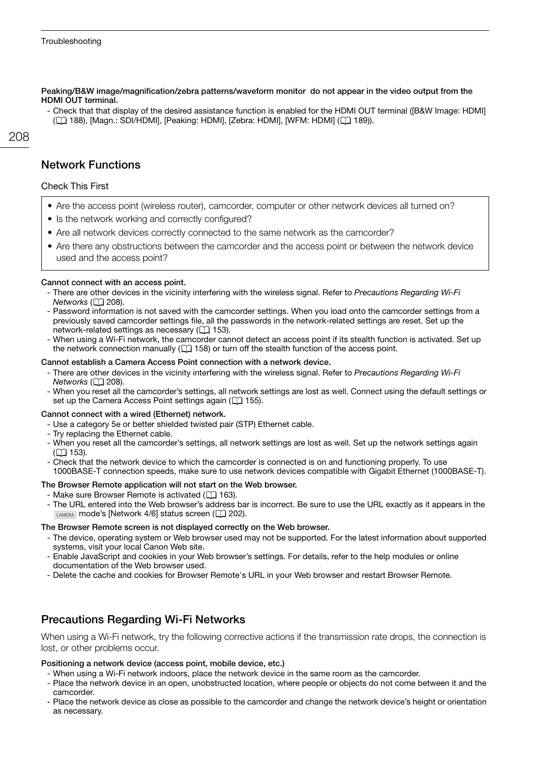Peaking/B&W image/magnification/zebra patterns/waveform monitor do not appear in the video output from the HDMI OUT terminal.

- Check that that display of the desired assistance function is enabled for the HDMI OUT terminal ([B&W Image: HDMI] ( $\Box$  [188](#page--1-16)), [Magn.: SDI/HDMI], [Peaking: HDMI], [Zebra: HDMI], [WFM: HDMI] ( $\Box$  [189\)](#page--1-17)).

## 208

## Network Functions

## Check This First

- Are the access point (wireless router), camcorder, computer or other network devices all turned on?
- Is the network working and correctly configured?
- Are all network devices correctly connected to the same network as the camcorder?
- Are there any obstructions between the camcorder and the access point or between the network device used and the access point?

## Cannot connect with an access point.

- There are other devices in the vicinity interfering with the wireless signal. Refer to *Precautions Regarding Wi-Fi Networks* ( $\Box$  [208\)](#page-4-0).
- Password information is not saved with the camcorder settings. When you load onto the camcorder settings from a previously saved camcorder settings file, all the passwords in the network-related settings are reset. Set up the network-related settings as necessary  $(1)$  [153\)](#page--1-20).
- When using a Wi-Fi network, the camcorder cannot detect an access point if its stealth function is activated. Set up the network connection manually  $(1)$  [158\)](#page--1-10) or turn off the stealth function of the access point.

## Cannot establish a Camera Access Point connection with a network device.

- There are other devices in the vicinity interfering with the wireless signal. Refer to *Precautions Regarding Wi-Fi Networks* ( $\Box$  [208\)](#page-4-0).
- When you reset all the camcorder's settings, all network settings are lost as well. Connect using the default settings or set up the Camera Access Point settings again  $($

## Cannot connect with a wired (Ethernet) network.

- Use a category 5e or better shielded twisted pair (STP) Ethernet cable.
- Try replacing the Ethernet cable.
- When you reset all the camcorder's settings, all network settings are lost as well. Set up the network settings again  $(L1 153)$  $(L1 153)$  $(L1 153)$ .
- Check that the network device to which the camcorder is connected is on and functioning properly. To use 1000BASE-T connection speeds, make sure to use network devices compatible with Gigabit Ethernet (1000BASE-T).

## The Browser Remote application will not start on the Web browser.

- Make sure Browser Remote is activated  $(M 163)$  $(M 163)$  $(M 163)$ .
- The URL entered into the Web browser's address bar is incorrect. Be sure to use the URL exactly as it appears in the CAMERA mode's [Network 4/6] status screen ( $\square$  [202\)](#page--1-16).

## The Browser Remote screen is not displayed correctly on the Web browser.

- The device, operating system or Web browser used may not be supported. For the latest information about supported systems, visit your local Canon Web site.
- Enable JavaScript and cookies in your Web browser's settings. For details, refer to the help modules or online documentation of the Web browser used.
- Delete the cache and cookies for Browser Remote's URL in your Web browser and restart Browser Remote.

## <span id="page-4-0"></span>Precautions Regarding Wi-Fi Networks

When using a Wi-Fi network, try the following corrective actions if the transmission rate drops, the connection is lost, or other problems occur.

## Positioning a network device (access point, mobile device, etc.)

- When using a Wi-Fi network indoors, place the network device in the same room as the camcorder.
- Place the network device in an open, unobstructed location, where people or objects do not come between it and the camcorder.
- Place the network device as close as possible to the camcorder and change the network device's height or orientation as necessary.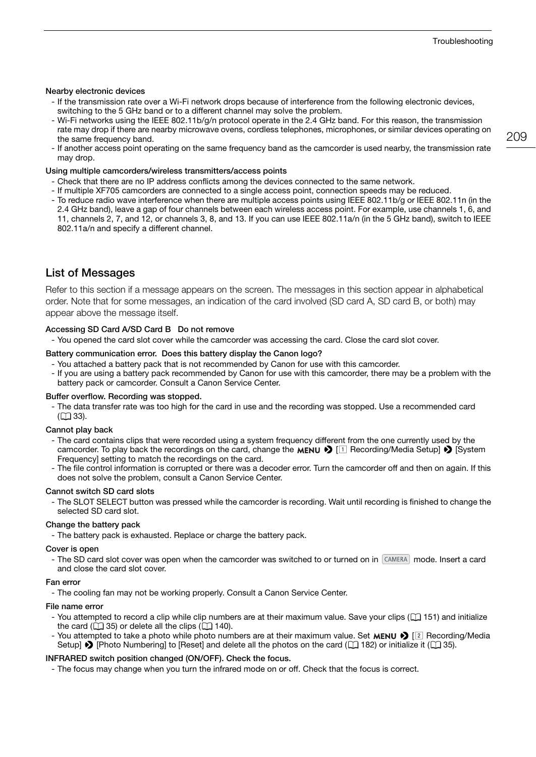## Nearby electronic devices

- If the transmission rate over a Wi-Fi network drops because of interference from the following electronic devices, switching to the 5 GHz band or to a different channel may solve the problem.
- Wi-Fi networks using the IEEE 802.11b/g/n protocol operate in the 2.4 GHz band. For this reason, the transmission rate may drop if there are nearby microwave ovens, cordless telephones, microphones, or similar devices operating on the same frequency band.
- If another access point operating on the same frequency band as the camcorder is used nearby, the transmission rate may drop.

#### Using multiple camcorders/wireless transmitters/access points

- Check that there are no IP address conflicts among the devices connected to the same network.
- If multiple XF705 camcorders are connected to a single access point, connection speeds may be reduced.
- To reduce radio wave interference when there are multiple access points using IEEE 802.11b/g or IEEE 802.11n (in the 2.4 GHz band), leave a gap of four channels between each wireless access point. For example, use channels 1, 6, and 11, channels 2, 7, and 12, or channels 3, 8, and 13. If you can use IEEE 802.11a/n (in the 5 GHz band), switch to IEEE 802.11a/n and specify a different channel.

## List of Messages

Refer to this section if a message appears on the screen. The messages in this section appear in alphabetical order. Note that for some messages, an indication of the card involved (SD card A, SD card B, or both) may appear above the message itself.

### Accessing SD Card A/SD Card B Do not remove

- You opened the card slot cover while the camcorder was accessing the card. Close the card slot cover.

#### Battery communication error. Does this battery display the Canon logo?

- You attached a battery pack that is not recommended by Canon for use with this camcorder.
- If you are using a battery pack recommended by Canon for use with this camcorder, there may be a problem with the battery pack or camcorder. Consult a Canon Service Center.

### Buffer overflow. Recording was stopped.

- The data transfer rate was too high for the card in use and the recording was stopped. Use a recommended card  $(D \cap 33)$  $(D \cap 33)$ .

#### Cannot play back

- The card contains clips that were recorded using a system frequency different from the one currently used by the camcorder. To play back the recordings on the card, change the MENU  $\bigotimes$  [1] Recording/Media Setup]  $\bigotimes$  [System Frequency] setting to match the recordings on the card.
- The file control information is corrupted or there was a decoder error. Turn the camcorder off and then on again. If this does not solve the problem, consult a Canon Service Center.

#### Cannot switch SD card slots

- The SLOT SELECT button was pressed while the camcorder is recording. Wait until recording is finished to change the selected SD card slot.

#### Change the battery pack

- The battery pack is exhausted. Replace or charge the battery pack.

#### Cover is open

- The SD card slot cover was open when the camcorder was switched to or turned on in [CAMERA] mode. Insert a card and close the card slot cover.

#### Fan error

- The cooling fan may not be working properly. Consult a Canon Service Center.

#### File name error

- You attempted to record a clip while clip numbers are at their maximum value. Save your clips  $(1)$  [151](#page--1-0)) and initialize the card ( $\Box$  [35](#page--1-5)) or delete all the clips ( $\Box$  [140](#page--1-4)).
- You attempted to take a photo while photo numbers are at their maximum value. Set MENU  $\bigotimes$  [2] Recording/Media Setup]  $\bullet$  [Photo Numbering] to [Reset] and delete all the photos on the card ( $\Box$  [182\)](#page--1-22) or initialize it ( $\Box$  [35\)](#page--1-5).

## INFRARED switch position changed (ON/OFF). Check the focus.

- The focus may change when you turn the infrared mode on or off. Check that the focus is correct.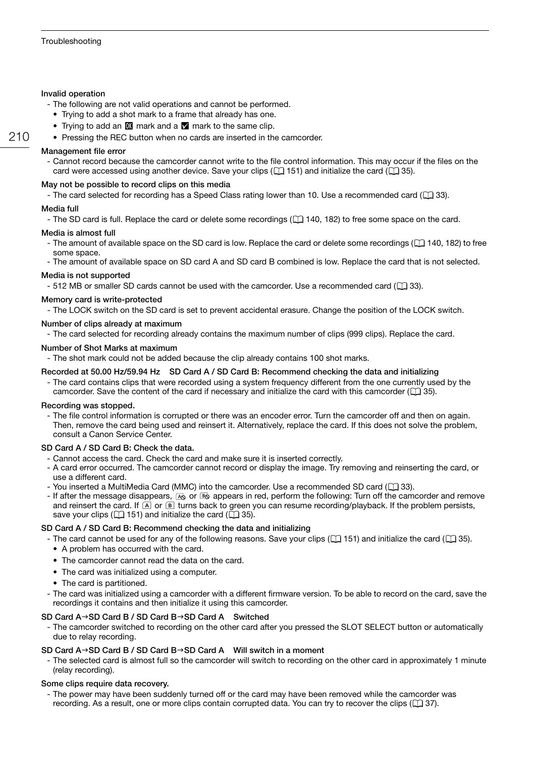## Invalid operation

- The following are not valid operations and cannot be performed.
	- Trying to add a shot mark to a frame that already has one.
	- Trying to add an  $\mathbb{N}$  mark and a  $\mathbb{N}$  mark to the same clip.
- Pressing the REC button when no cards are inserted in the camcorder.

## Management file error

Cannot record because the camcorder cannot write to the file control information. This may occur if the files on the card were accessed using another device. Save your clips ( $\Box$ [151](#page--1-0)) and initialize the card ( $\Box$ [35\)](#page--1-5).

## May not be possible to record clips on this media

- The card selected for recording has a Speed Class rating lower than 10. Use a recommended card ( $\Box$ ) [33\)](#page--1-18).

## Media full

- The SD card is full. Replace the card or delete some recordings ( $\Box$ ) [140,](#page--1-4) [182\)](#page--1-22) to free some space on the card.

## Media is almost full

- The amount of available space on the SD card is low. Replace the card or delete some recordings  $(\Box)$  [140,](#page--1-4) [182](#page--1-22)) to free some space.
- The amount of available space on SD card A and SD card B combined is low. Replace the card that is not selected.

## Media is not supported

- 512 MB or smaller SD cards cannot be used with the camcorder. Use a recommended card ( $\Box$  [33](#page--1-18)).

## Memory card is write-protected

- The LOCK switch on the SD card is set to prevent accidental erasure. Change the position of the LOCK switch.

## Number of clips already at maximum

- The card selected for recording already contains the maximum number of clips (999 clips). Replace the card.

## Number of Shot Marks at maximum

- The shot mark could not be added because the clip already contains 100 shot marks.

## Recorded at 50.00 Hz/59.94 Hz SD Card A / SD Card B: Recommend checking the data and initializing

- The card contains clips that were recorded using a system frequency different from the one currently used by the camcorder. Save the content of the card if necessary and initialize the card with this camcorder ( $\Box$ ) [35\)](#page--1-5).

### Recording was stopped.

- The file control information is corrupted or there was an encoder error. Turn the camcorder off and then on again. Then, remove the card being used and reinsert it. Alternatively, replace the card. If this does not solve the problem, consult a Canon Service Center.

## SD Card A / SD Card B: Check the data.

- Cannot access the card. Check the card and make sure it is inserted correctly.
- A card error occurred. The camcorder cannot record or display the image. Try removing and reinserting the card, or use a different card.
- You inserted a MultiMedia Card (MMC) into the camcorder. Use a recommended SD card ( $\Box$  [33](#page--1-18)).
- If after the message disappears,  $\otimes$  or  $\otimes$  appears in red, perform the following: Turn off the camcorder and remove and reinsert the card. If  $\overline{A}$  or  $\overline{B}$  turns back to green you can resume recording/playback. If the problem persists, save your clips ( $\Box$  [151](#page--1-0)) and initialize the card ( $\Box$  [35\)](#page--1-5).

## SD Card A / SD Card B: Recommend checking the data and initializing

- The card cannot be used for any of the following reasons. Save your clips ( $\Box$  [151](#page--1-0)) and initialize the card ( $\Box$  [35](#page--1-5)).
- A problem has occurred with the card.
- The camcorder cannot read the data on the card.
- The card was initialized using a computer.
- The card is partitioned.
- The card was initialized using a camcorder with a different firmware version. To be able to record on the card, save the recordings it contains and then initialize it using this camcorder.

## SD Card  $A \rightarrow SD$  Card B / SD Card B $\rightarrow SD$  Card A Switched

- The camcorder switched to recording on the other card after you pressed the SLOT SELECT button or automatically due to relay recording.

## SD Card  $A \rightarrow SD$  Card B / SD Card B $\rightarrow$  SD Card A Will switch in a moment

- The selected card is almost full so the camcorder will switch to recording on the other card in approximately 1 minute (relay recording).

## Some clips require data recovery.

- The power may have been suddenly turned off or the card may have been removed while the camcorder was recording. As a result, one or more clips contain corrupted data. You can try to recover the clips  $(\Box$  [37\)](#page--1-5).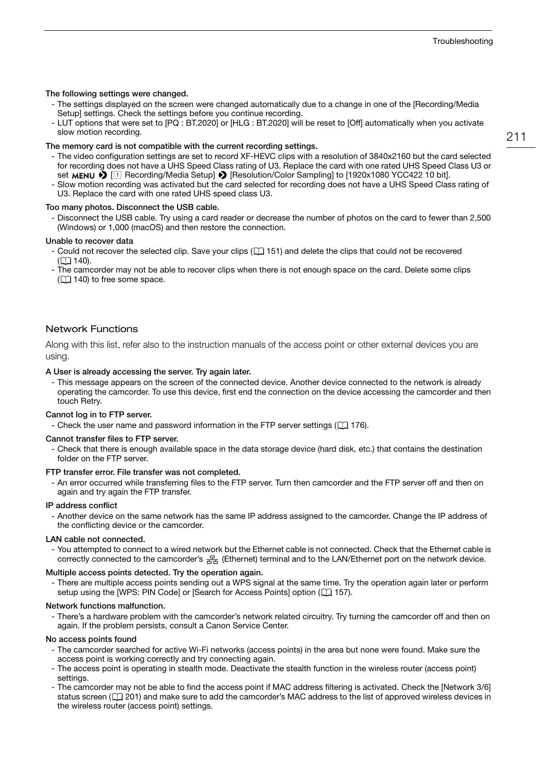## The following settings were changed.

- The settings displayed on the screen were changed automatically due to a change in one of the [Recording/Media Setup] settings. Check the settings before you continue recording.
- LUT options that were set to [PQ : BT.2020] or [HLG : BT.2020] will be reset to [Off] automatically when you activate slow motion recording.

#### The memory card is not compatible with the current recording settings.

- The video configuration settings are set to record XF-HEVC clips with a resolution of 3840x2160 but the card selected for recording does not have a UHS Speed Class rating of U3. Replace the card with one rated UHS Speed Class U3 or set MENU  $\bigcirc$  [1] Recording/Media Setup]  $\bigcirc$  [Resolution/Color Sampling] to [1920x1080 YCC422 10 bit].
- Slow motion recording was activated but the card selected for recording does not have a UHS Speed Class rating of U3. Replace the card with one rated UHS speed class U3.

## Too many photos. Disconnect the USB cable.

- Disconnect the USB cable. Try using a card reader or decrease the number of photos on the card to fewer than 2,500 (Windows) or 1,000 (macOS) and then restore the connection.

#### Unable to recover data

- Could not recover the selected clip. Save your clips ( $\Box$ [151\)](#page--1-0) and delete the clips that could not be recovered  $(M 140)$  $(M 140)$  $(M 140)$ .
- The camcorder may not be able to recover clips when there is not enough space on the card. Delete some clips  $($  $\Box$  [140](#page--1-4)) to free some space.

## Network Functions

Along with this list, refer also to the instruction manuals of the access point or other external devices you are using.

#### A User is already accessing the server. Try again later.

- This message appears on the screen of the connected device. Another device connected to the network is already operating the camcorder. To use this device, first end the connection on the device accessing the camcorder and then touch Retry.

#### Cannot log in to FTP server.

- Check the user name and password information in the FTP server settings ( $\Box$ ) [176](#page--1-22)).

#### Cannot transfer files to FTP server.

- Check that there is enough available space in the data storage device (hard disk, etc.) that contains the destination folder on the FTP server.

#### FTP transfer error. File transfer was not completed.

- An error occurred while transferring files to the FTP server. Turn then camcorder and the FTP server off and then on again and try again the FTP transfer.

#### IP address conflict

- Another device on the same network has the same IP address assigned to the camcorder. Change the IP address of the conflicting device or the camcorder.

#### LAN cable not connected.

- You attempted to connect to a wired network but the Ethernet cable is not connected. Check that the Ethernet cable is correctly connected to the camcorder's <sub>R<sub>R</sub></sub> (Ethernet) terminal and to the LAN/Ethernet port on the network device.

### Multiple access points detected. Try the operation again.

- There are multiple access points sending out a WPS signal at the same time. Try the operation again later or perform setup using the [WPS: PIN Code] or [Search for Access Points] option ( $\Box$  [157](#page--1-23)).

## Network functions malfunction.

- There's a hardware problem with the camcorder's network related circuitry. Try turning the camcorder off and then on again. If the problem persists, consult a Canon Service Center.

#### No access points found

- The camcorder searched for active Wi-Fi networks (access points) in the area but none were found. Make sure the access point is working correctly and try connecting again.
- The access point is operating in stealth mode. Deactivate the stealth function in the wireless router (access point) settings.
- The camcorder may not be able to find the access point if MAC address filtering is activated. Check the [Network 3/6] status screen ( $\Box$  [201\)](#page--1-24) and make sure to add the camcorder's MAC address to the list of approved wireless devices in the wireless router (access point) settings.